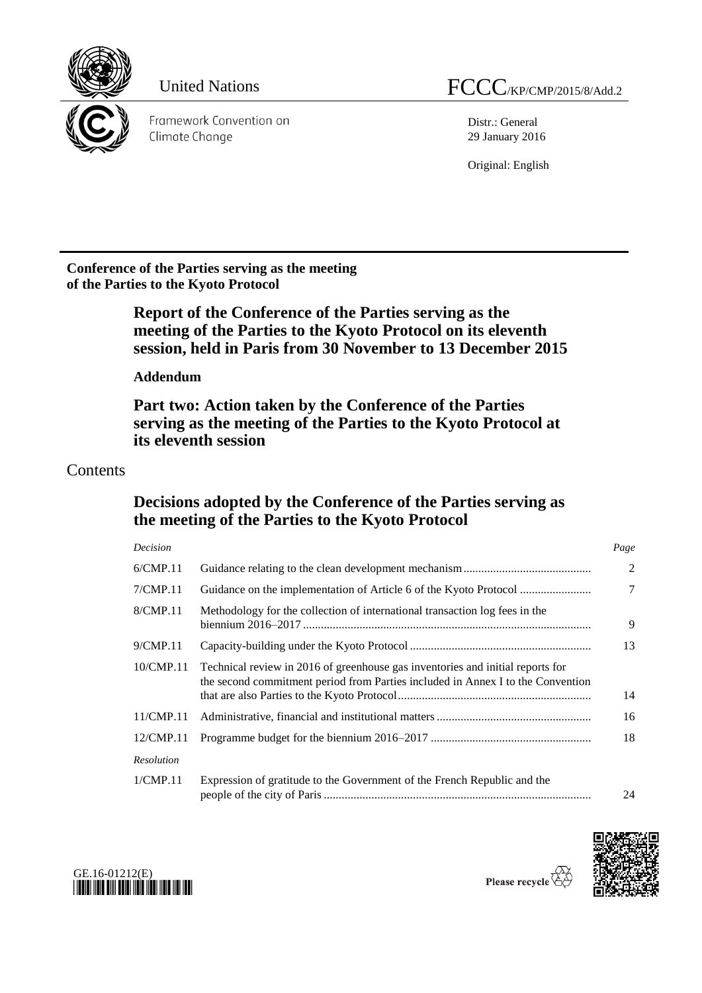

Distr.: General 29 January 2016

Original: English

**Conference of the Parties serving as the meeting of the Parties to the Kyoto Protocol**

> **Report of the Conference of the Parties serving as the meeting of the Parties to the Kyoto Protocol on its eleventh session, held in Paris from 30 November to 13 December 2015**

**Addendum**

**Part two: Action taken by the Conference of the Parties serving as the meeting of the Parties to the Kyoto Protocol at its eleventh session**

## Contents

## **Decisions adopted by the Conference of the Parties serving as the meeting of the Parties to the Kyoto Protocol**

| Decision   |                                                                                                                                                                   | Page           |
|------------|-------------------------------------------------------------------------------------------------------------------------------------------------------------------|----------------|
| 6/CMP.11   |                                                                                                                                                                   | 2              |
| 7/CMP.11   |                                                                                                                                                                   | $\overline{7}$ |
| 8/CMP.11   | Methodology for the collection of international transaction log fees in the                                                                                       | 9              |
| 9/CMP.11   |                                                                                                                                                                   | 13             |
| 10/CMP.11  | Technical review in 2016 of greenhouse gas inventories and initial reports for<br>the second commitment period from Parties included in Annex I to the Convention | 14             |
| 11/CMP.11  |                                                                                                                                                                   | 16             |
| 12/CMP.11  |                                                                                                                                                                   | 18             |
| Resolution |                                                                                                                                                                   |                |
| 1/CMP.11   | Expression of gratitude to the Government of the French Republic and the                                                                                          | 24             |





Please recycle  $\overleftrightarrow{C}$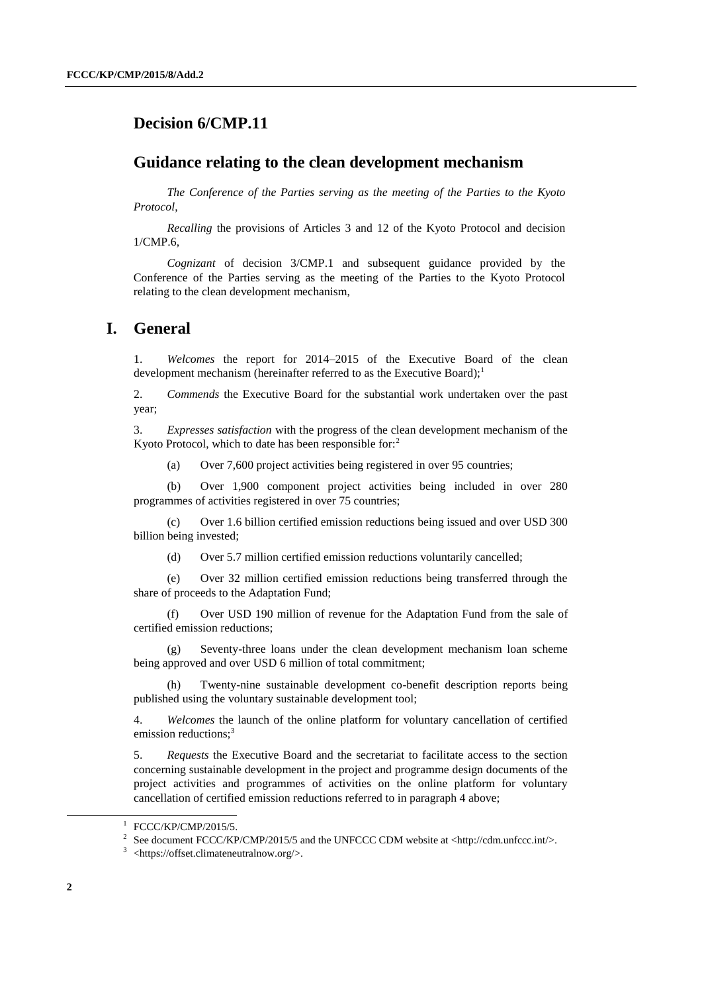## **Decision 6/CMP.11**

#### **Guidance relating to the clean development mechanism**

*The Conference of the Parties serving as the meeting of the Parties to the Kyoto Protocol*,

*Recalling* the provisions of Articles 3 and 12 of the Kyoto Protocol and decision 1/CMP.6,

*Cognizant* of decision 3/CMP.1 and subsequent guidance provided by the Conference of the Parties serving as the meeting of the Parties to the Kyoto Protocol relating to the clean development mechanism,

#### **I. General**

1. *Welcomes* the report for 2014–2015 of the Executive Board of the clean development mechanism (hereinafter referred to as the Executive Board);<sup>1</sup>

2. *Commends* the Executive Board for the substantial work undertaken over the past year;

3. *Expresses satisfaction* with the progress of the clean development mechanism of the Kyoto Protocol, which to date has been responsible for:<sup>2</sup>

(a) Over 7,600 project activities being registered in over 95 countries;

(b) Over 1,900 component project activities being included in over 280 programmes of activities registered in over 75 countries;

(c) Over 1.6 billion certified emission reductions being issued and over USD 300 billion being invested;

(d) Over 5.7 million certified emission reductions voluntarily cancelled;

(e) Over 32 million certified emission reductions being transferred through the share of proceeds to the Adaptation Fund;

(f) Over USD 190 million of revenue for the Adaptation Fund from the sale of certified emission reductions;

(g) Seventy-three loans under the clean development mechanism loan scheme being approved and over USD 6 million of total commitment;

Twenty-nine sustainable development co-benefit description reports being published using the voluntary sustainable development tool;

4. *Welcomes* the launch of the online platform for voluntary cancellation of certified emission reductions;<sup>3</sup>

5. *Requests* the Executive Board and the secretariat to facilitate access to the section concerning sustainable development in the project and programme design documents of the project activities and programmes of activities on the online platform for voluntary cancellation of certified emission reductions referred to in paragraph 4 above;

<sup>1</sup> FCCC/KP/CMP/2015/5.

<sup>&</sup>lt;sup>2</sup> See document FCCC/KP/CMP/2015/5 and the UNFCCC CDM website at <http://cdm.unfccc.int/>.

<sup>&</sup>lt;sup>3</sup> <https://offset.climateneutralnow.org/>.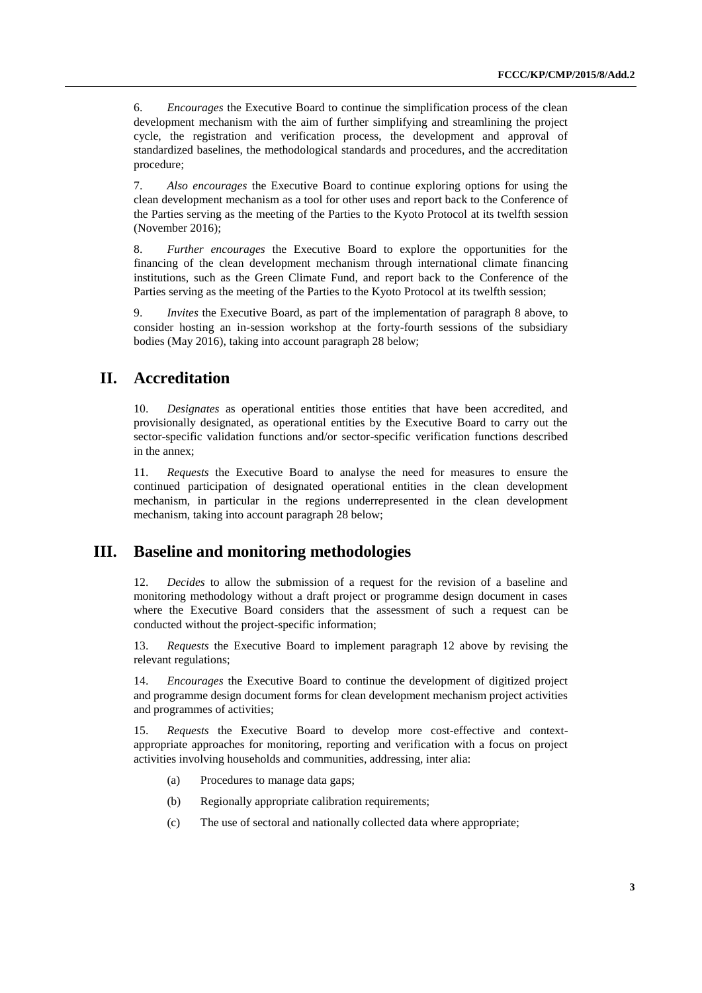6. *Encourages* the Executive Board to continue the simplification process of the clean development mechanism with the aim of further simplifying and streamlining the project cycle, the registration and verification process, the development and approval of standardized baselines, the methodological standards and procedures, and the accreditation procedure;

7. *Also encourages* the Executive Board to continue exploring options for using the clean development mechanism as a tool for other uses and report back to the Conference of the Parties serving as the meeting of the Parties to the Kyoto Protocol at its twelfth session (November 2016);

8. *Further encourages* the Executive Board to explore the opportunities for the financing of the clean development mechanism through international climate financing institutions, such as the Green Climate Fund, and report back to the Conference of the Parties serving as the meeting of the Parties to the Kyoto Protocol at its twelfth session;

9. *Invites* the Executive Board, as part of the implementation of paragraph 8 above, to consider hosting an in-session workshop at the forty-fourth sessions of the subsidiary bodies (May 2016), taking into account paragraph 28 below;

#### **II. Accreditation**

10. *Designates* as operational entities those entities that have been accredited, and provisionally designated, as operational entities by the Executive Board to carry out the sector-specific validation functions and/or sector-specific verification functions described in the annex;

11. *Requests* the Executive Board to analyse the need for measures to ensure the continued participation of designated operational entities in the clean development mechanism, in particular in the regions underrepresented in the clean development mechanism, taking into account paragraph 28 below;

## **III. Baseline and monitoring methodologies**

12. *Decides* to allow the submission of a request for the revision of a baseline and monitoring methodology without a draft project or programme design document in cases where the Executive Board considers that the assessment of such a request can be conducted without the project-specific information;

13. *Requests* the Executive Board to implement paragraph 12 above by revising the relevant regulations;

14. *Encourages* the Executive Board to continue the development of digitized project and programme design document forms for clean development mechanism project activities and programmes of activities;

15. *Requests* the Executive Board to develop more cost-effective and contextappropriate approaches for monitoring, reporting and verification with a focus on project activities involving households and communities, addressing, inter alia:

- (a) Procedures to manage data gaps;
- (b) Regionally appropriate calibration requirements;
- (c) The use of sectoral and nationally collected data where appropriate;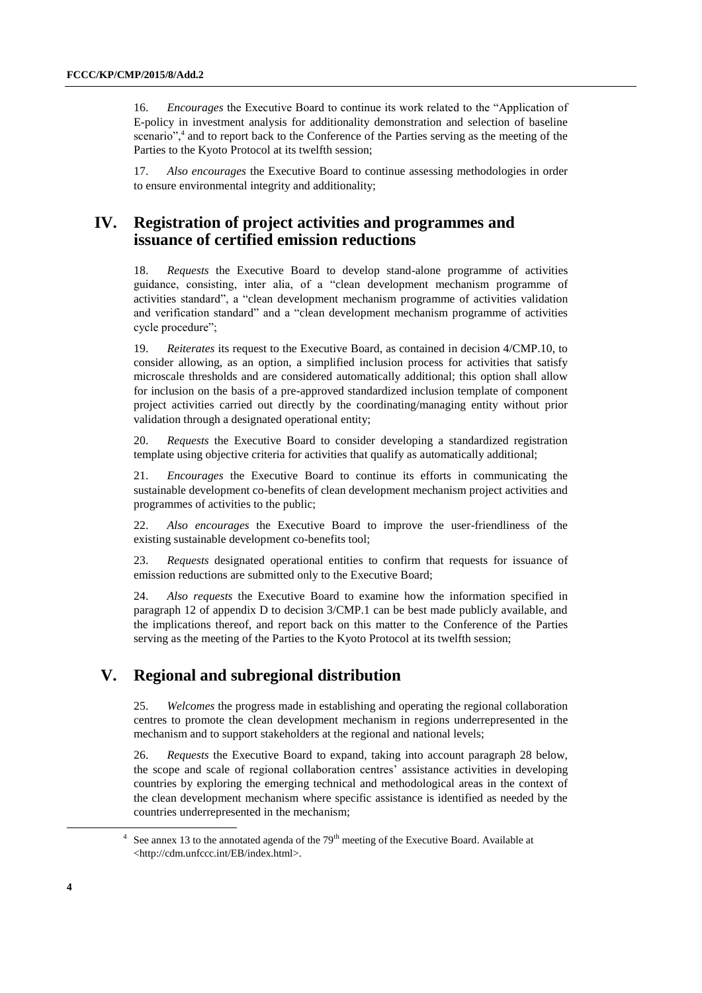16. *Encourages* the Executive Board to continue its work related to the "Application of E-policy in investment analysis for additionality demonstration and selection of baseline scenario",<sup>4</sup> and to report back to the Conference of the Parties serving as the meeting of the Parties to the Kyoto Protocol at its twelfth session;

17. *Also encourages* the Executive Board to continue assessing methodologies in order to ensure environmental integrity and additionality;

## **IV. Registration of project activities and programmes and issuance of certified emission reductions**

18. *Requests* the Executive Board to develop stand-alone programme of activities guidance, consisting, inter alia, of a "clean development mechanism programme of activities standard", a "clean development mechanism programme of activities validation and verification standard" and a "clean development mechanism programme of activities cycle procedure";

19. *Reiterates* its request to the Executive Board, as contained in decision 4/CMP.10, to consider allowing, as an option, a simplified inclusion process for activities that satisfy microscale thresholds and are considered automatically additional; this option shall allow for inclusion on the basis of a pre-approved standardized inclusion template of component project activities carried out directly by the coordinating/managing entity without prior validation through a designated operational entity;

20. *Requests* the Executive Board to consider developing a standardized registration template using objective criteria for activities that qualify as automatically additional;

21. *Encourages* the Executive Board to continue its efforts in communicating the sustainable development co-benefits of clean development mechanism project activities and programmes of activities to the public;

22. *Also encourages* the Executive Board to improve the user-friendliness of the existing sustainable development co-benefits tool;

23. *Requests* designated operational entities to confirm that requests for issuance of emission reductions are submitted only to the Executive Board;

24. *Also requests* the Executive Board to examine how the information specified in paragraph 12 of appendix D to decision 3/CMP.1 can be best made publicly available, and the implications thereof, and report back on this matter to the Conference of the Parties serving as the meeting of the Parties to the Kyoto Protocol at its twelfth session;

## **V. Regional and subregional distribution**

25. *Welcomes* the progress made in establishing and operating the regional collaboration centres to promote the clean development mechanism in regions underrepresented in the mechanism and to support stakeholders at the regional and national levels;

26. *Requests* the Executive Board to expand, taking into account paragraph 28 below, the scope and scale of regional collaboration centres' assistance activities in developing countries by exploring the emerging technical and methodological areas in the context of the clean development mechanism where specific assistance is identified as needed by the countries underrepresented in the mechanism;

 $\overline{a}$ 

 $4$  See annex 13 to the annotated agenda of the 79<sup>th</sup> meeting of the Executive Board. Available at <http://cdm.unfccc.int/EB/index.html>.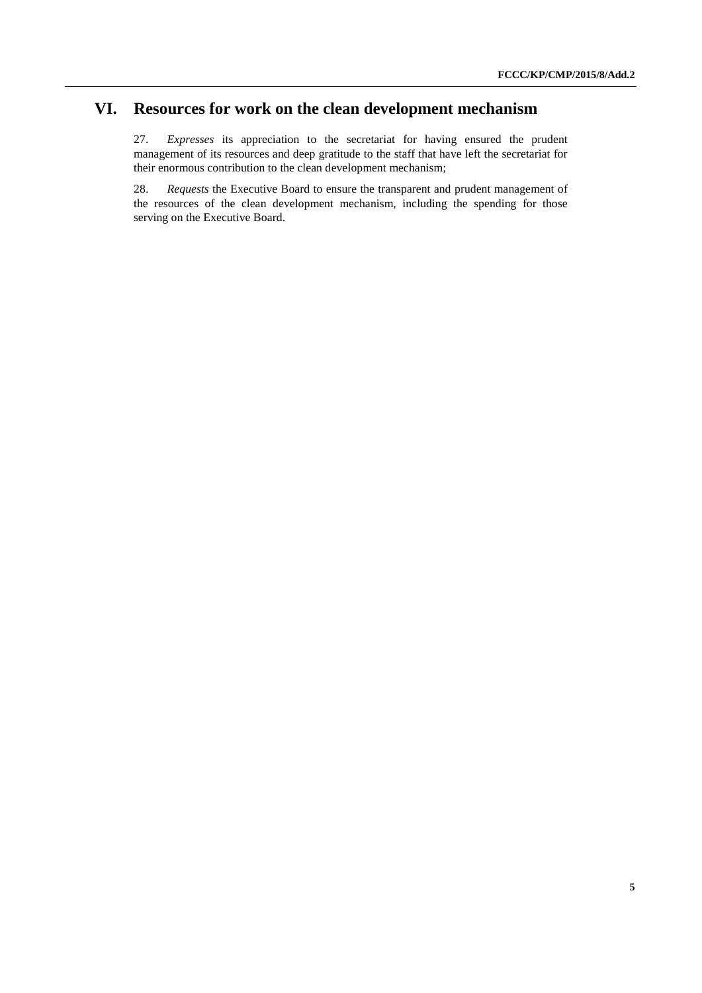# **VI. Resources for work on the clean development mechanism**

27. *Expresses* its appreciation to the secretariat for having ensured the prudent management of its resources and deep gratitude to the staff that have left the secretariat for their enormous contribution to the clean development mechanism;

28. *Requests* the Executive Board to ensure the transparent and prudent management of the resources of the clean development mechanism, including the spending for those serving on the Executive Board.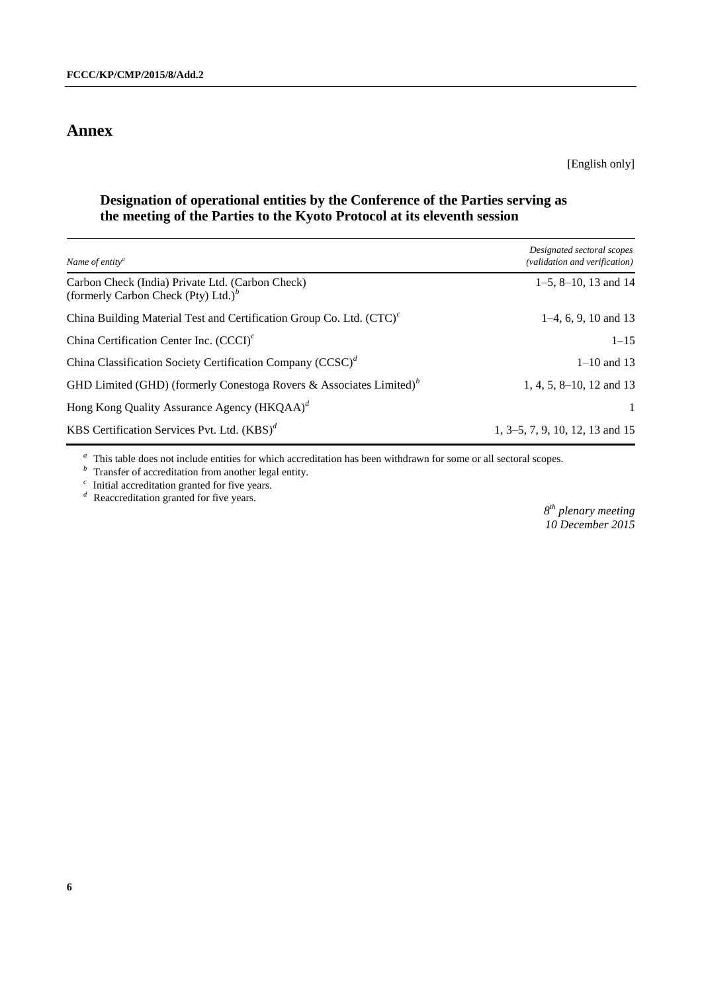## **Annex**

[English only]

#### **Designation of operational entities by the Conference of the Parties serving as the meeting of the Parties to the Kyoto Protocol at its eleventh session**

| Name of entity <sup>a</sup>                                                                 | Designated sectoral scopes<br>(validation and verification) |
|---------------------------------------------------------------------------------------------|-------------------------------------------------------------|
| Carbon Check (India) Private Ltd. (Carbon Check)<br>(formerly Carbon Check (Pty) Ltd.) $^b$ | $1-5$ , $8-10$ , 13 and 14                                  |
| China Building Material Test and Certification Group Co. Ltd. $(TTC)^c$                     | $1-4, 6, 9, 10$ and 13                                      |
| China Certification Center Inc. $(CCCI)^c$                                                  | $1 - 15$                                                    |
| China Classification Society Certification Company $(CCSC)^d$                               | $1 - 10$ and 13                                             |
| GHD Limited (GHD) (formerly Conestoga Rovers & Associates Limited) $b$                      | $1, 4, 5, 8-10, 12$ and 13                                  |
| Hong Kong Quality Assurance Agency (HKQAA) <sup>d</sup>                                     | $\mathbf{1}$                                                |
| KBS Certification Services Pvt. Ltd. $(KBS)^d$                                              | 1, 3–5, 7, 9, 10, 12, 13 and 15                             |

<sup>a</sup> This table does not include entities for which accreditation has been withdrawn for some or all sectoral scopes.

 *Transfer of accreditation from another legal entity.* 

 $c$ Initial accreditation granted for five years.

<sup>*d*</sup> Reaccreditation granted for five years.

*8 th plenary meeting 10 December 2015*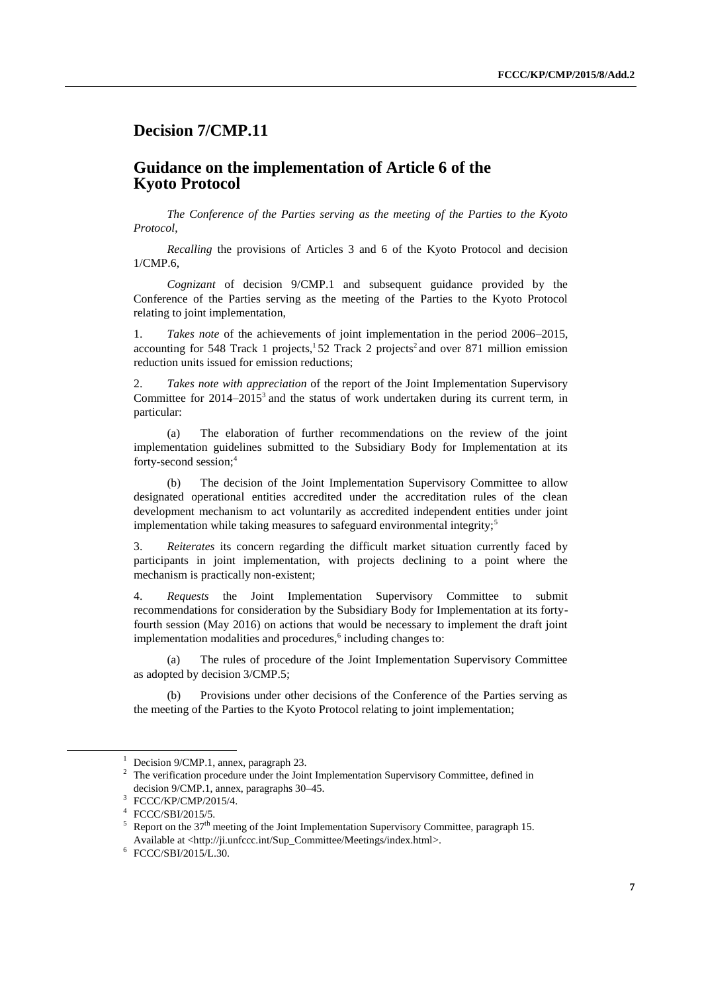## **Decision 7/CMP.11**

#### **Guidance on the implementation of Article 6 of the Kyoto Protocol**

*The Conference of the Parties serving as the meeting of the Parties to the Kyoto Protocol*,

*Recalling* the provisions of Articles 3 and 6 of the Kyoto Protocol and decision 1/CMP.6,

*Cognizant* of decision 9/CMP.1 and subsequent guidance provided by the Conference of the Parties serving as the meeting of the Parties to the Kyoto Protocol relating to joint implementation,

1. *Takes note* of the achievements of joint implementation in the period 2006–2015, accounting for 548 Track 1 projects,  $152$  Track 2 projects<sup>2</sup> and over 871 million emission reduction units issued for emission reductions;

2. *Takes note with appreciation* of the report of the Joint Implementation Supervisory Committee for  $2014-2015^3$  and the status of work undertaken during its current term, in particular:

(a) The elaboration of further recommendations on the review of the joint implementation guidelines submitted to the Subsidiary Body for Implementation at its forty-second session;<sup>4</sup>

(b) The decision of the Joint Implementation Supervisory Committee to allow designated operational entities accredited under the accreditation rules of the clean development mechanism to act voluntarily as accredited independent entities under joint implementation while taking measures to safeguard environmental integrity;<sup>5</sup>

3. *Reiterates* its concern regarding the difficult market situation currently faced by participants in joint implementation, with projects declining to a point where the mechanism is practically non-existent;

4. *Requests* the Joint Implementation Supervisory Committee to submit recommendations for consideration by the Subsidiary Body for Implementation at its fortyfourth session (May 2016) on actions that would be necessary to implement the draft joint implementation modalities and procedures,<sup>6</sup> including changes to:

(a) The rules of procedure of the Joint Implementation Supervisory Committee as adopted by decision 3/CMP.5;

(b) Provisions under other decisions of the Conference of the Parties serving as the meeting of the Parties to the Kyoto Protocol relating to joint implementation;

 $\overline{a}$ 

<sup>&</sup>lt;sup>1</sup> Decision 9/CMP.1, annex, paragraph 23.

 $2\degree$  The verification procedure under the Joint Implementation Supervisory Committee, defined in decision 9/CMP.1, annex, paragraphs 30–45.

<sup>3</sup> FCCC/KP/CMP/2015/4.

<sup>4</sup> FCCC/SBI/2015/5.

<sup>&</sup>lt;sup>5</sup> Report on the  $37<sup>th</sup>$  meeting of the Joint Implementation Supervisory Committee, paragraph 15. Available at <http://ji.unfccc.int/Sup\_Committee/Meetings/index.html>.

<sup>6</sup> FCCC/SBI/2015/L.30.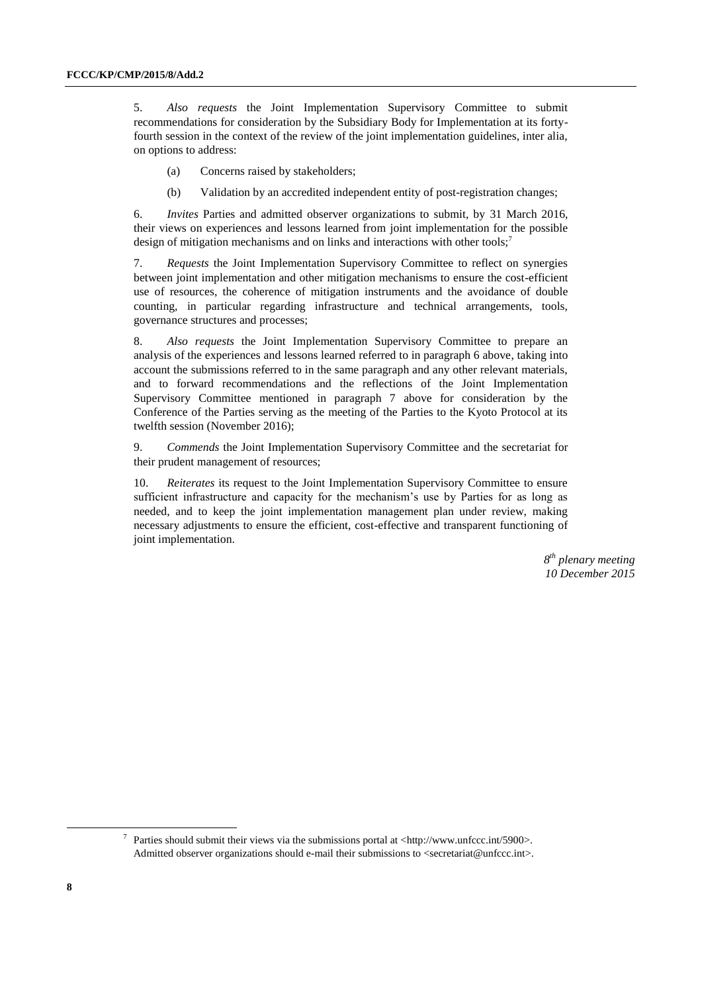5. *Also requests* the Joint Implementation Supervisory Committee to submit recommendations for consideration by the Subsidiary Body for Implementation at its fortyfourth session in the context of the review of the joint implementation guidelines, inter alia, on options to address:

- (a) Concerns raised by stakeholders;
- (b) Validation by an accredited independent entity of post-registration changes;

6. *Invites* Parties and admitted observer organizations to submit, by 31 March 2016, their views on experiences and lessons learned from joint implementation for the possible design of mitigation mechanisms and on links and interactions with other tools:<sup>7</sup>

7. *Requests* the Joint Implementation Supervisory Committee to reflect on synergies between joint implementation and other mitigation mechanisms to ensure the cost-efficient use of resources, the coherence of mitigation instruments and the avoidance of double counting, in particular regarding infrastructure and technical arrangements, tools, governance structures and processes;

8. *Also requests* the Joint Implementation Supervisory Committee to prepare an analysis of the experiences and lessons learned referred to in paragraph 6 above, taking into account the submissions referred to in the same paragraph and any other relevant materials, and to forward recommendations and the reflections of the Joint Implementation Supervisory Committee mentioned in paragraph 7 above for consideration by the Conference of the Parties serving as the meeting of the Parties to the Kyoto Protocol at its twelfth session (November 2016);

9. *Commends* the Joint Implementation Supervisory Committee and the secretariat for their prudent management of resources;

10. *Reiterates* its request to the Joint Implementation Supervisory Committee to ensure sufficient infrastructure and capacity for the mechanism's use by Parties for as long as needed, and to keep the joint implementation management plan under review, making necessary adjustments to ensure the efficient, cost-effective and transparent functioning of joint implementation.

> *8 th plenary meeting 10 December 2015*

<sup>7</sup> Parties should submit their views via the submissions portal at <http://www.unfccc.int/5900>. Admitted observer organizations should e-mail their submissions to <secretariat@unfccc.int>.

 $\overline{a}$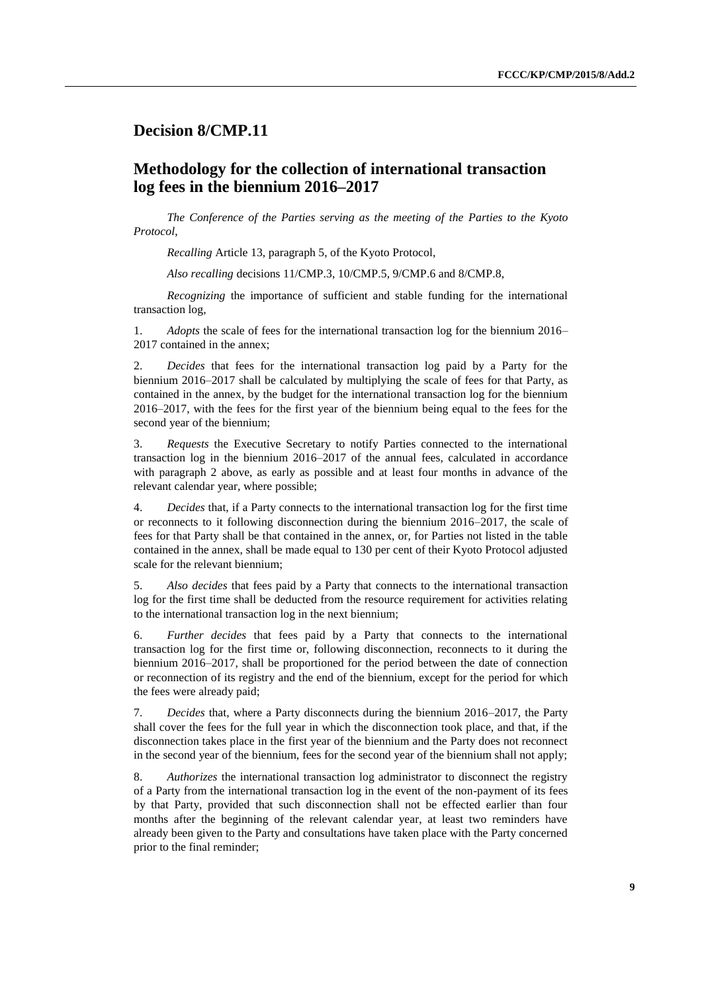## **Decision 8/CMP.11**

## **Methodology for the collection of international transaction log fees in the biennium 2016–2017**

*The Conference of the Parties serving as the meeting of the Parties to the Kyoto Protocol*,

*Recalling* Article 13, paragraph 5, of the Kyoto Protocol,

*Also recalling* decisions 11/CMP.3, 10/CMP.5, 9/CMP.6 and 8/CMP.8,

*Recognizing* the importance of sufficient and stable funding for the international transaction log,

1. *Adopts* the scale of fees for the international transaction log for the biennium 2016– 2017 contained in the annex;

2. *Decides* that fees for the international transaction log paid by a Party for the biennium 2016–2017 shall be calculated by multiplying the scale of fees for that Party, as contained in the annex, by the budget for the international transaction log for the biennium 2016–2017, with the fees for the first year of the biennium being equal to the fees for the second year of the biennium;

3. *Requests* the Executive Secretary to notify Parties connected to the international transaction log in the biennium 2016–2017 of the annual fees, calculated in accordance with paragraph 2 above, as early as possible and at least four months in advance of the relevant calendar year, where possible;

4. *Decides* that, if a Party connects to the international transaction log for the first time or reconnects to it following disconnection during the biennium 2016–2017, the scale of fees for that Party shall be that contained in the annex, or, for Parties not listed in the table contained in the annex, shall be made equal to 130 per cent of their Kyoto Protocol adjusted scale for the relevant biennium;

5. *Also decides* that fees paid by a Party that connects to the international transaction log for the first time shall be deducted from the resource requirement for activities relating to the international transaction log in the next biennium;

6. *Further decides* that fees paid by a Party that connects to the international transaction log for the first time or, following disconnection, reconnects to it during the biennium 2016–2017, shall be proportioned for the period between the date of connection or reconnection of its registry and the end of the biennium, except for the period for which the fees were already paid;

7. *Decides* that, where a Party disconnects during the biennium 2016–2017, the Party shall cover the fees for the full year in which the disconnection took place, and that, if the disconnection takes place in the first year of the biennium and the Party does not reconnect in the second year of the biennium, fees for the second year of the biennium shall not apply;

8. *Authorizes* the international transaction log administrator to disconnect the registry of a Party from the international transaction log in the event of the non-payment of its fees by that Party, provided that such disconnection shall not be effected earlier than four months after the beginning of the relevant calendar year, at least two reminders have already been given to the Party and consultations have taken place with the Party concerned prior to the final reminder;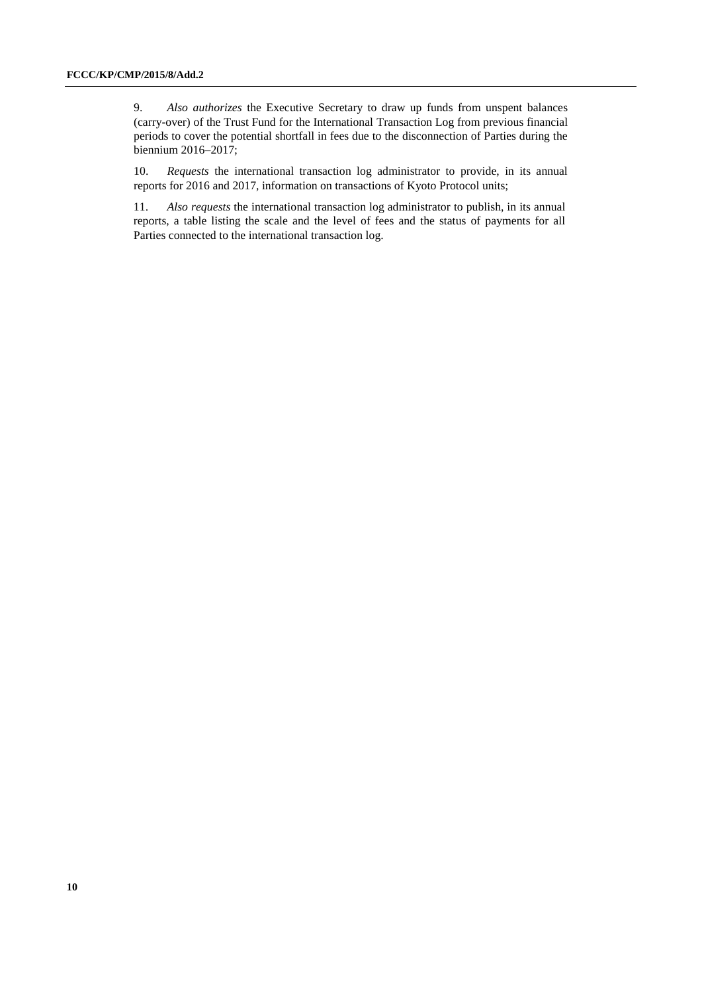9. *Also authorizes* the Executive Secretary to draw up funds from unspent balances (carry-over) of the Trust Fund for the International Transaction Log from previous financial periods to cover the potential shortfall in fees due to the disconnection of Parties during the biennium 2016–2017;

10. *Requests* the international transaction log administrator to provide, in its annual reports for 2016 and 2017, information on transactions of Kyoto Protocol units;

11. *Also requests* the international transaction log administrator to publish, in its annual reports, a table listing the scale and the level of fees and the status of payments for all Parties connected to the international transaction log.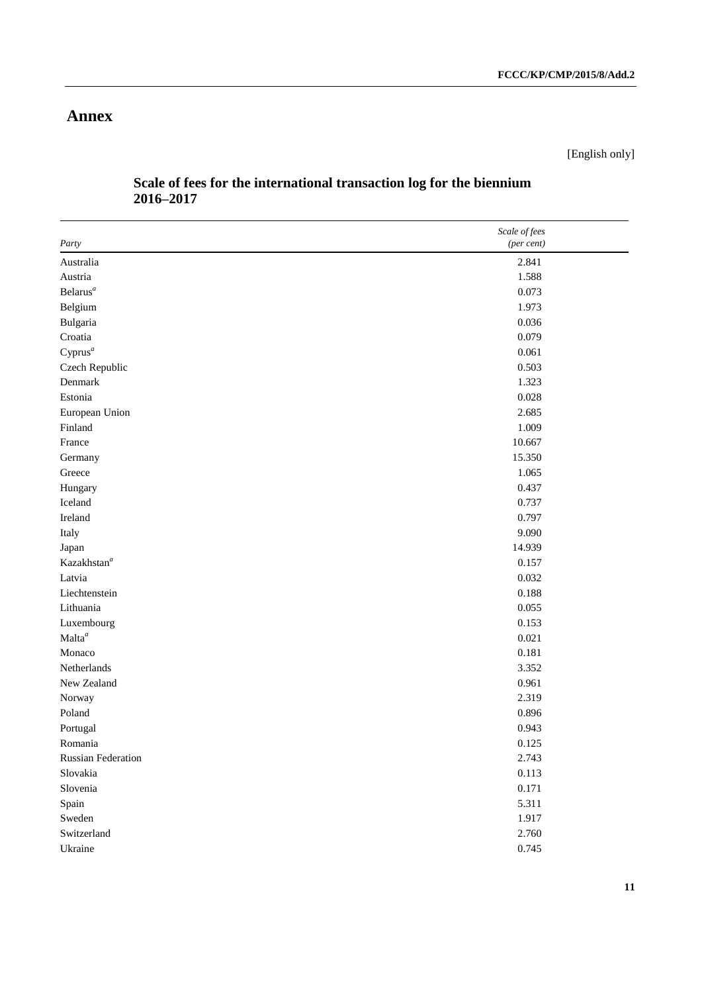## **Annex**

[English only]

| Party                   | Scale of fees<br>(per cent) |
|-------------------------|-----------------------------|
| Australia               | 2.841                       |
| Austria                 | 1.588                       |
| Belarus <sup>a</sup>    | 0.073                       |
| Belgium                 | 1.973                       |
| Bulgaria                | 0.036                       |
| Croatia                 | 0.079                       |
| $Cyprus^a$              | 0.061                       |
| Czech Republic          | 0.503                       |
| Denmark                 | 1.323                       |
| Estonia                 | 0.028                       |
| European Union          | 2.685                       |
| Finland                 | 1.009                       |
| France                  | 10.667                      |
|                         | 15.350                      |
| Germany<br>Greece       | 1.065                       |
|                         | 0.437                       |
| Hungary<br>Iceland      | 0.737                       |
|                         |                             |
| Ireland                 | 0.797                       |
| Italy                   | 9.090                       |
| Japan                   | 14.939                      |
| Kazakhstan <sup>a</sup> | 0.157                       |
| Latvia                  | 0.032                       |
| Liechtenstein           | 0.188                       |
| Lithuania               | 0.055                       |
| Luxembourg              | 0.153                       |
| Malta <sup>a</sup>      | 0.021                       |
| Monaco                  | 0.181                       |
| Netherlands             | 3.352                       |
| New Zealand             | 0.961                       |
| Norway                  | 2.319                       |
| Poland                  | 0.896                       |
| Portugal                | 0.943                       |
| Romania                 | 0.125                       |
| Russian Federation      | 2.743                       |
| Slovakia                | 0.113                       |
| Slovenia                | 0.171                       |
| Spain                   | 5.311                       |
| Sweden                  | 1.917                       |
| Switzerland             | 2.760                       |
| Ukraine                 | 0.745                       |

## **Scale of fees for the international transaction log for the biennium 2016–2017**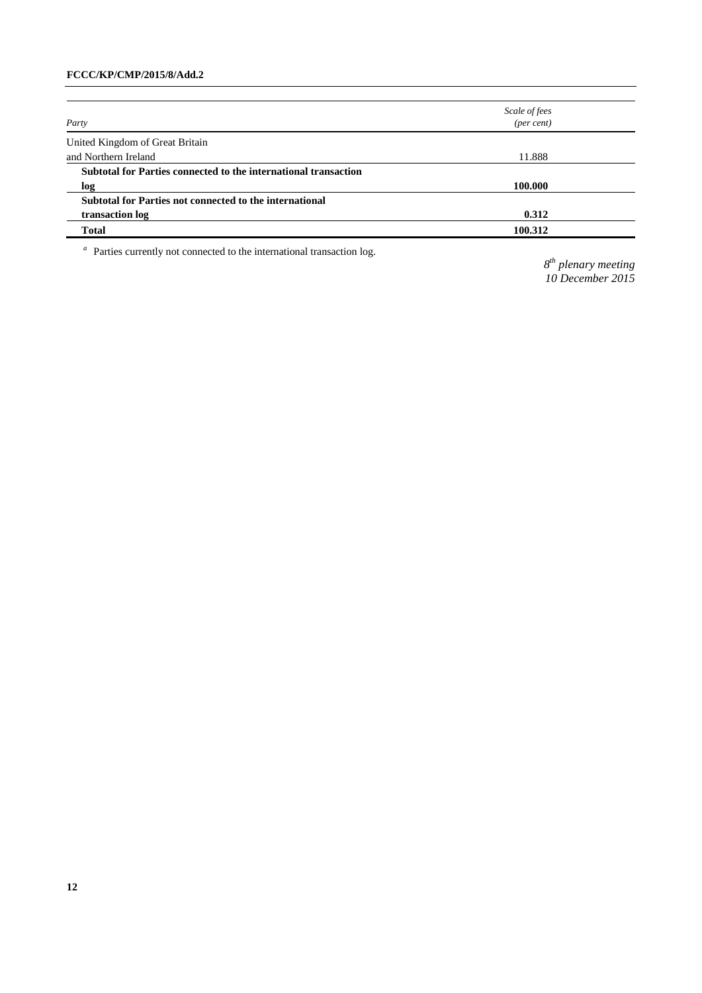|                                                                 | Scale of fees<br>(per cent) |  |
|-----------------------------------------------------------------|-----------------------------|--|
| Party                                                           |                             |  |
| United Kingdom of Great Britain                                 |                             |  |
| and Northern Ireland                                            | 11.888                      |  |
| Subtotal for Parties connected to the international transaction |                             |  |
| log                                                             | 100.000                     |  |
| Subtotal for Parties not connected to the international         |                             |  |
| transaction log                                                 | 0.312                       |  |
| Total                                                           | 100.312                     |  |

 $\,^a\,$  Parties currently not connected to the international transaction log.

*8 th plenary meeting 10 December 2015*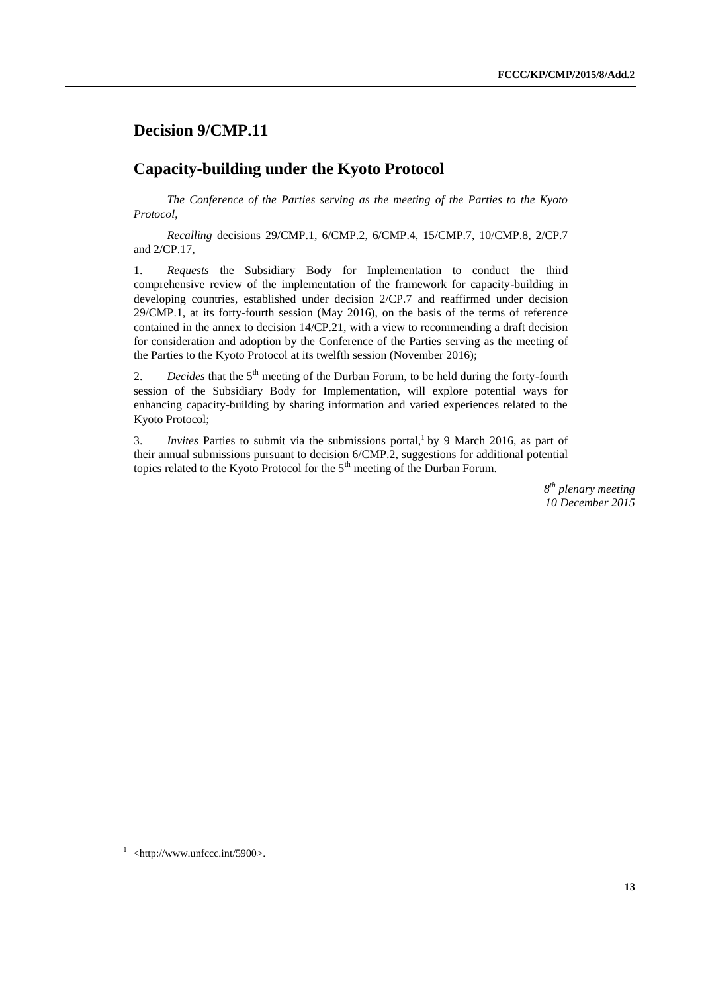## **Decision 9/CMP.11**

## **Capacity-building under the Kyoto Protocol**

*The Conference of the Parties serving as the meeting of the Parties to the Kyoto Protocol*,

*Recalling* decisions 29/CMP.1, 6/CMP.2, 6/CMP.4, 15/CMP.7, 10/CMP.8, 2/CP.7 and 2/CP.17,

1. *Requests* the Subsidiary Body for Implementation to conduct the third comprehensive review of the implementation of the framework for capacity-building in developing countries, established under decision 2/CP.7 and reaffirmed under decision 29/CMP.1, at its forty-fourth session (May 2016), on the basis of the terms of reference contained in the annex to decision 14/CP.21, with a view to recommending a draft decision for consideration and adoption by the Conference of the Parties serving as the meeting of the Parties to the Kyoto Protocol at its twelfth session (November 2016);

2. *Decides* that the 5<sup>th</sup> meeting of the Durban Forum, to be held during the forty-fourth session of the Subsidiary Body for Implementation, will explore potential ways for enhancing capacity-building by sharing information and varied experiences related to the Kyoto Protocol;

3. *Invites* Parties to submit via the submissions portal, 1 by 9 March 2016, as part of their annual submissions pursuant to decision 6/CMP.2, suggestions for additional potential topics related to the Kyoto Protocol for the 5<sup>th</sup> meeting of the Durban Forum.

> *8 th plenary meeting 10 December 2015*

 $1$  <http://www.unfccc.int/5900>.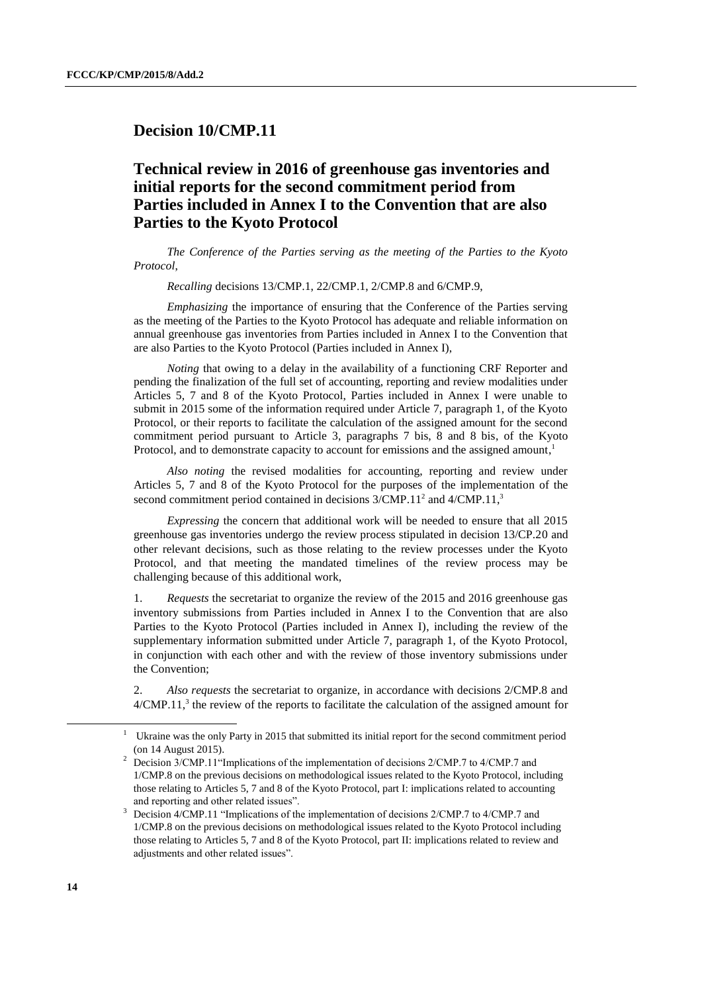### **Decision 10/CMP.11**

## **Technical review in 2016 of greenhouse gas inventories and initial reports for the second commitment period from Parties included in Annex I to the Convention that are also Parties to the Kyoto Protocol**

*The Conference of the Parties serving as the meeting of the Parties to the Kyoto Protocol*,

*Recalling* decisions 13/CMP.1, 22/CMP.1, 2/CMP.8 and 6/CMP.9,

*Emphasizing* the importance of ensuring that the Conference of the Parties serving as the meeting of the Parties to the Kyoto Protocol has adequate and reliable information on annual greenhouse gas inventories from Parties included in Annex I to the Convention that are also Parties to the Kyoto Protocol (Parties included in Annex I),

*Noting* that owing to a delay in the availability of a functioning CRF Reporter and pending the finalization of the full set of accounting, reporting and review modalities under Articles 5, 7 and 8 of the Kyoto Protocol, Parties included in Annex I were unable to submit in 2015 some of the information required under Article 7, paragraph 1, of the Kyoto Protocol, or their reports to facilitate the calculation of the assigned amount for the second commitment period pursuant to Article 3, paragraphs 7 bis, 8 and 8 bis, of the Kyoto Protocol, and to demonstrate capacity to account for emissions and the assigned amount,<sup>1</sup>

*Also noting* the revised modalities for accounting, reporting and review under Articles 5, 7 and 8 of the Kyoto Protocol for the purposes of the implementation of the second commitment period contained in decisions  $3/CMP.11<sup>2</sup>$  and  $4/CMP.11<sup>3</sup>$ 

*Expressing* the concern that additional work will be needed to ensure that all 2015 greenhouse gas inventories undergo the review process stipulated in decision 13/CP.20 and other relevant decisions, such as those relating to the review processes under the Kyoto Protocol, and that meeting the mandated timelines of the review process may be challenging because of this additional work,

1. *Requests* the secretariat to organize the review of the 2015 and 2016 greenhouse gas inventory submissions from Parties included in Annex I to the Convention that are also Parties to the Kyoto Protocol (Parties included in Annex I), including the review of the supplementary information submitted under Article 7, paragraph 1, of the Kyoto Protocol, in conjunction with each other and with the review of those inventory submissions under the Convention;

2. *Also requests* the secretariat to organize, in accordance with decisions 2/CMP.8 and  $4/CMP.11$ ,<sup>3</sup> the review of the reports to facilitate the calculation of the assigned amount for

Ukraine was the only Party in 2015 that submitted its initial report for the second commitment period (on 14 August 2015).

<sup>&</sup>lt;sup>2</sup> Decision 3/CMP.11 "Implications of the implementation of decisions 2/CMP.7 to 4/CMP.7 and 1/CMP.8 on the previous decisions on methodological issues related to the Kyoto Protocol, including those relating to Articles 5, 7 and 8 of the Kyoto Protocol, part I: implications related to accounting and reporting and other related issues".

<sup>3</sup> Decision 4/CMP.11 "Implications of the implementation of decisions 2/CMP.7 to 4/CMP.7 and 1/CMP.8 on the previous decisions on methodological issues related to the Kyoto Protocol including those relating to Articles 5, 7 and 8 of the Kyoto Protocol, part II: implications related to review and adjustments and other related issues".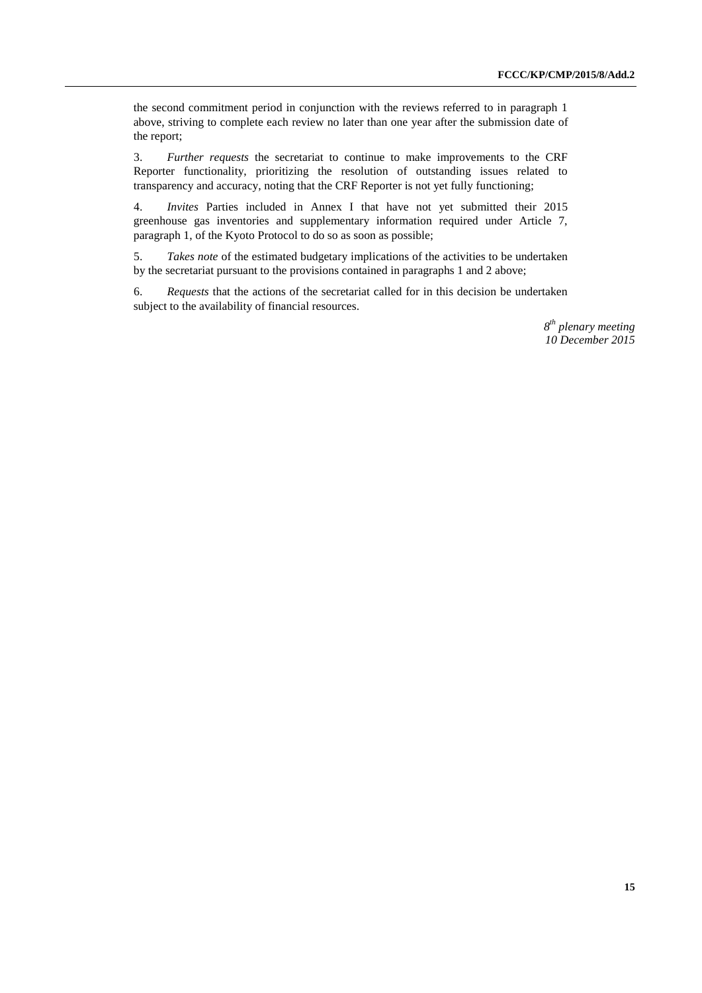the second commitment period in conjunction with the reviews referred to in paragraph 1 above, striving to complete each review no later than one year after the submission date of the report;

3. *Further requests* the secretariat to continue to make improvements to the CRF Reporter functionality, prioritizing the resolution of outstanding issues related to transparency and accuracy, noting that the CRF Reporter is not yet fully functioning;

4. *Invites* Parties included in Annex I that have not yet submitted their 2015 greenhouse gas inventories and supplementary information required under Article 7, paragraph 1, of the Kyoto Protocol to do so as soon as possible;

5. *Takes note* of the estimated budgetary implications of the activities to be undertaken by the secretariat pursuant to the provisions contained in paragraphs 1 and 2 above;

6. *Requests* that the actions of the secretariat called for in this decision be undertaken subject to the availability of financial resources.

> *8 th plenary meeting 10 December 2015*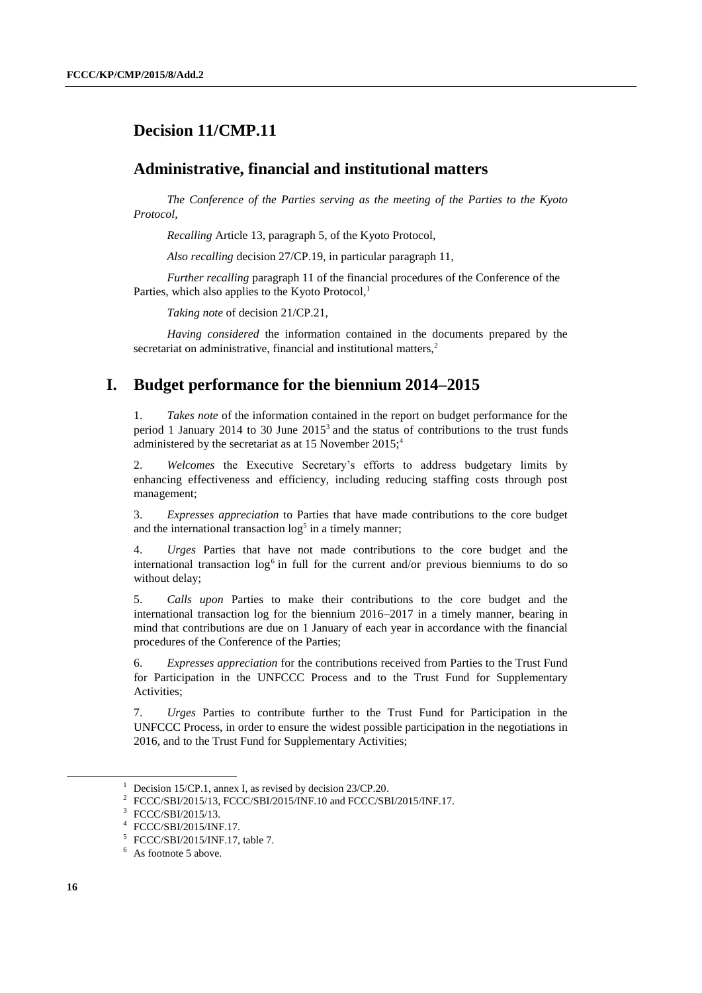## **Decision 11/CMP.11**

#### **Administrative, financial and institutional matters**

*The Conference of the Parties serving as the meeting of the Parties to the Kyoto Protocol*,

*Recalling* Article 13, paragraph 5, of the Kyoto Protocol,

*Also recalling* decision 27/CP.19, in particular paragraph 11,

*Further recalling* paragraph 11 of the financial procedures of the Conference of the Parties, which also applies to the Kyoto Protocol,<sup>1</sup>

*Taking note* of decision 21/CP.21,

*Having considered* the information contained in the documents prepared by the secretariat on administrative, financial and institutional matters.<sup>2</sup>

## **I. Budget performance for the biennium 2014–2015**

1. *Takes note* of the information contained in the report on budget performance for the period 1 January 2014 to 30 June  $2015<sup>3</sup>$  and the status of contributions to the trust funds administered by the secretariat as at 15 November  $2015$ ;<sup>4</sup>

2. *Welcomes* the Executive Secretary's efforts to address budgetary limits by enhancing effectiveness and efficiency, including reducing staffing costs through post management;

3. *Expresses appreciation* to Parties that have made contributions to the core budget and the international transaction  $\log^5$  in a timely manner;

4. *Urges* Parties that have not made contributions to the core budget and the international transaction log<sup>6</sup> in full for the current and/or previous bienniums to do so without delay;

5. *Calls upon* Parties to make their contributions to the core budget and the international transaction log for the biennium 2016–2017 in a timely manner, bearing in mind that contributions are due on 1 January of each year in accordance with the financial procedures of the Conference of the Parties;

6. *Expresses appreciation* for the contributions received from Parties to the Trust Fund for Participation in the UNFCCC Process and to the Trust Fund for Supplementary Activities;

7. *Urges* Parties to contribute further to the Trust Fund for Participation in the UNFCCC Process, in order to ensure the widest possible participation in the negotiations in 2016, and to the Trust Fund for Supplementary Activities;

Decision 15/CP.1, annex I, as revised by decision 23/CP.20.

<sup>2</sup> FCCC/SBI/2015/13, FCCC/SBI/2015/INF.10 and FCCC/SBI/2015/INF.17.

<sup>3</sup> FCCC/SBI/2015/13.

<sup>4</sup> FCCC/SBI/2015/INF.17.

<sup>5</sup> FCCC/SBI/2015/INF.17, table 7.

<sup>&</sup>lt;sup>6</sup> As footnote 5 above.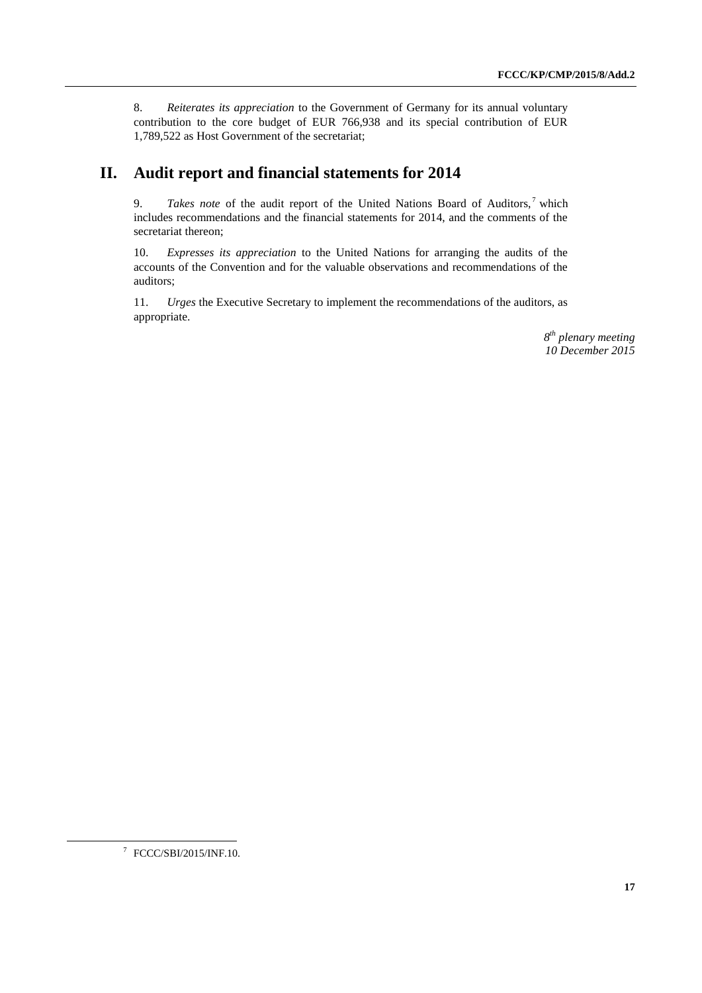8. *Reiterates its appreciation* to the Government of Germany for its annual voluntary contribution to the core budget of EUR 766,938 and its special contribution of EUR 1,789,522 as Host Government of the secretariat;

## **II. Audit report and financial statements for 2014**

9. *Takes note* of the audit report of the United Nations Board of Auditors,<sup>7</sup> which includes recommendations and the financial statements for 2014, and the comments of the secretariat thereon;

10. *Expresses its appreciation* to the United Nations for arranging the audits of the accounts of the Convention and for the valuable observations and recommendations of the auditors;

11. *Urges* the Executive Secretary to implement the recommendations of the auditors, as appropriate.

> *8 th plenary meeting 10 December 2015*

<sup>7</sup> FCCC/SBI/2015/INF.10.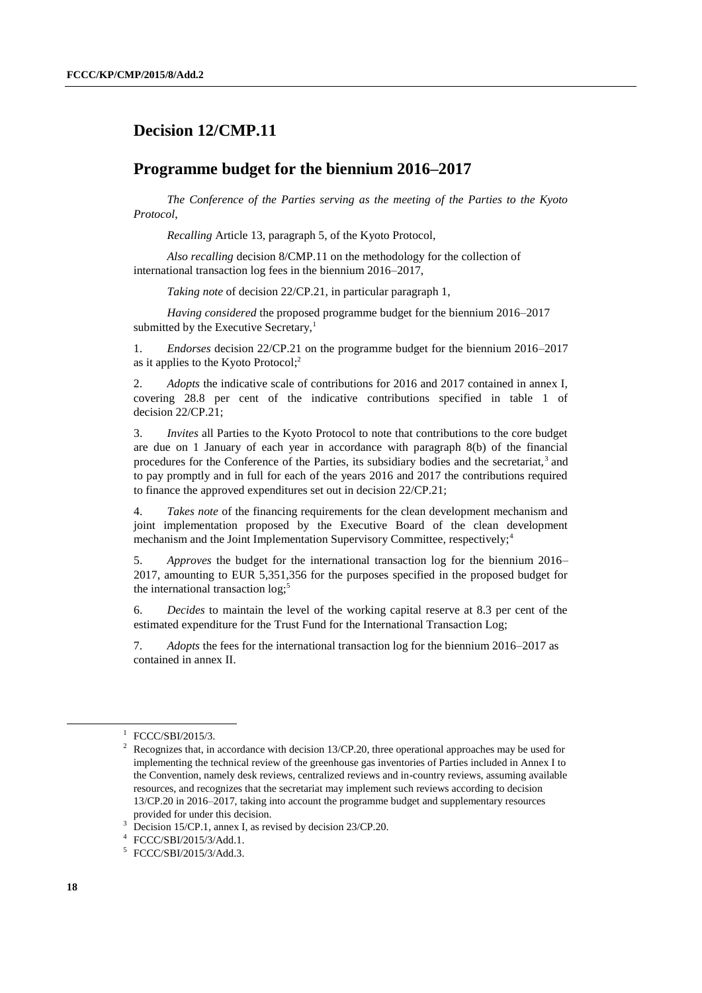## **Decision 12/CMP.11**

### **Programme budget for the biennium 2016–2017**

*The Conference of the Parties serving as the meeting of the Parties to the Kyoto Protocol*,

*Recalling* Article 13, paragraph 5, of the Kyoto Protocol,

*Also recalling* decision 8/CMP.11 on the methodology for the collection of international transaction log fees in the biennium 2016–2017,

*Taking note* of decision 22/CP.21, in particular paragraph 1,

*Having considered* the proposed programme budget for the biennium 2016–2017 submitted by the Executive Secretary, $<sup>1</sup>$ </sup>

1. *Endorses* decision 22/CP.21 on the programme budget for the biennium 2016–2017 as it applies to the Kyoto Protocol; 2

2. *Adopts* the indicative scale of contributions for 2016 and 2017 contained in annex I, covering 28.8 per cent of the indicative contributions specified in table 1 of decision 22/CP.21;

3. *Invites* all Parties to the Kyoto Protocol to note that contributions to the core budget are due on 1 January of each year in accordance with paragraph 8(b) of the financial procedures for the Conference of the Parties, its subsidiary bodies and the secretariat,<sup>3</sup> and to pay promptly and in full for each of the years 2016 and 2017 the contributions required to finance the approved expenditures set out in decision 22/CP.21;

4. *Takes note* of the financing requirements for the clean development mechanism and joint implementation proposed by the Executive Board of the clean development mechanism and the Joint Implementation Supervisory Committee, respectively;<sup>4</sup>

5. *Approves* the budget for the international transaction log for the biennium 2016– 2017, amounting to EUR 5,351,356 for the purposes specified in the proposed budget for the international transaction  $log<sub>5</sub>$ <sup>5</sup>

6. *Decides* to maintain the level of the working capital reserve at 8.3 per cent of the estimated expenditure for the Trust Fund for the International Transaction Log;

7. *Adopts* the fees for the international transaction log for the biennium 2016–2017 as contained in annex II.

<sup>&</sup>lt;sup>1</sup> FCCC/SBI/2015/3.

Recognizes that, in accordance with decision 13/CP.20, three operational approaches may be used for implementing the technical review of the greenhouse gas inventories of Parties included in Annex I to the Convention, namely desk reviews, centralized reviews and in-country reviews, assuming available resources, and recognizes that the secretariat may implement such reviews according to decision 13/CP.20 in 2016–2017, taking into account the programme budget and supplementary resources provided for under this decision.

<sup>&</sup>lt;sup>3</sup> Decision 15/CP.1, annex I, as revised by decision 23/CP.20.

<sup>4</sup> FCCC/SBI/2015/3/Add.1.

<sup>5</sup> FCCC/SBI/2015/3/Add.3.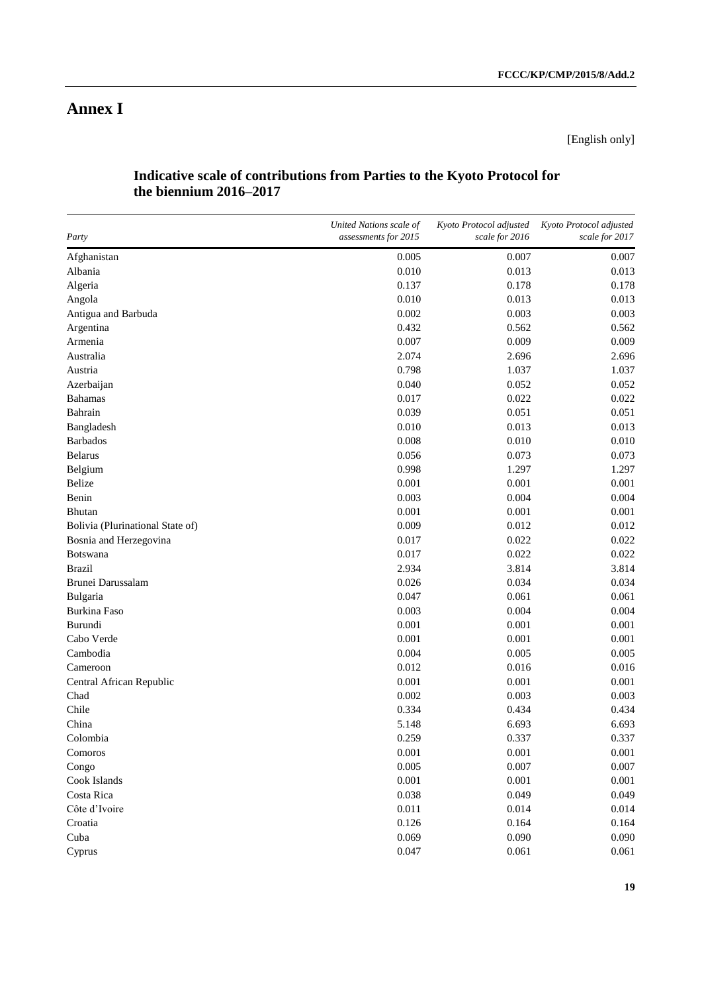[English only]

#### **Indicative scale of contributions from Parties to the Kyoto Protocol for the biennium 2016–2017**

| Party                            | United Nations scale of<br>assessments for 2015 | Kyoto Protocol adjusted<br>scale for 2016 | Kyoto Protocol adjusted<br>scale for 2017 |
|----------------------------------|-------------------------------------------------|-------------------------------------------|-------------------------------------------|
| Afghanistan                      | 0.005                                           | 0.007                                     | 0.007                                     |
| Albania                          | 0.010                                           | 0.013                                     | 0.013                                     |
| Algeria                          | 0.137                                           | 0.178                                     | 0.178                                     |
| Angola                           | 0.010                                           | 0.013                                     | 0.013                                     |
| Antigua and Barbuda              | 0.002                                           | 0.003                                     | 0.003                                     |
| Argentina                        | 0.432                                           | 0.562                                     | 0.562                                     |
| Armenia                          | 0.007                                           | 0.009                                     | 0.009                                     |
| Australia                        | 2.074                                           | 2.696                                     | 2.696                                     |
| Austria                          | 0.798                                           | 1.037                                     | 1.037                                     |
| Azerbaijan                       | 0.040                                           | 0.052                                     | 0.052                                     |
| <b>Bahamas</b>                   | 0.017                                           | 0.022                                     | 0.022                                     |
| Bahrain                          | 0.039                                           | 0.051                                     | 0.051                                     |
| Bangladesh                       | 0.010                                           | 0.013                                     | 0.013                                     |
| <b>Barbados</b>                  | 0.008                                           | 0.010                                     | 0.010                                     |
| <b>Belarus</b>                   | 0.056                                           | 0.073                                     | 0.073                                     |
| Belgium                          | 0.998                                           | 1.297                                     | 1.297                                     |
| <b>Belize</b>                    | 0.001                                           | 0.001                                     | 0.001                                     |
| Benin                            | 0.003                                           | 0.004                                     | 0.004                                     |
| Bhutan                           | 0.001                                           | 0.001                                     | 0.001                                     |
| Bolivia (Plurinational State of) | 0.009                                           | 0.012                                     | 0.012                                     |
| Bosnia and Herzegovina           | 0.017                                           | 0.022                                     | 0.022                                     |
| Botswana                         | 0.017                                           | 0.022                                     | 0.022                                     |
| <b>Brazil</b>                    | 2.934                                           | 3.814                                     | 3.814                                     |
| Brunei Darussalam                | 0.026                                           | 0.034                                     | 0.034                                     |
| Bulgaria                         | 0.047                                           | 0.061                                     | 0.061                                     |
| <b>Burkina Faso</b>              | 0.003                                           | 0.004                                     | 0.004                                     |
| Burundi                          | 0.001                                           | 0.001                                     | 0.001                                     |
| Cabo Verde                       | 0.001                                           | 0.001                                     | 0.001                                     |
| Cambodia                         | 0.004                                           | 0.005                                     | 0.005                                     |
| Cameroon                         | 0.012                                           | 0.016                                     | 0.016                                     |
| Central African Republic         | 0.001                                           | 0.001                                     | 0.001                                     |
| Chad                             | 0.002                                           | 0.003                                     | 0.003                                     |
| Chile                            | 0.334                                           | 0.434                                     | 0.434                                     |
| China                            | 5.148                                           | 6.693                                     | 6.693                                     |
| Colombia                         | 0.259                                           | 0.337                                     | 0.337                                     |
| Comoros                          | 0.001                                           | 0.001                                     | 0.001                                     |
| Congo                            | 0.005                                           | 0.007                                     | 0.007                                     |
| Cook Islands                     | 0.001                                           | 0.001                                     | 0.001                                     |
| Costa Rica                       | 0.038                                           | 0.049                                     | 0.049                                     |
| Côte d'Ivoire                    | 0.011                                           | 0.014                                     | 0.014                                     |
| Croatia                          | 0.126                                           | 0.164                                     | 0.164                                     |
| Cuba                             | 0.069                                           | 0.090                                     | 0.090                                     |
| Cyprus                           | 0.047                                           | 0.061                                     | 0.061                                     |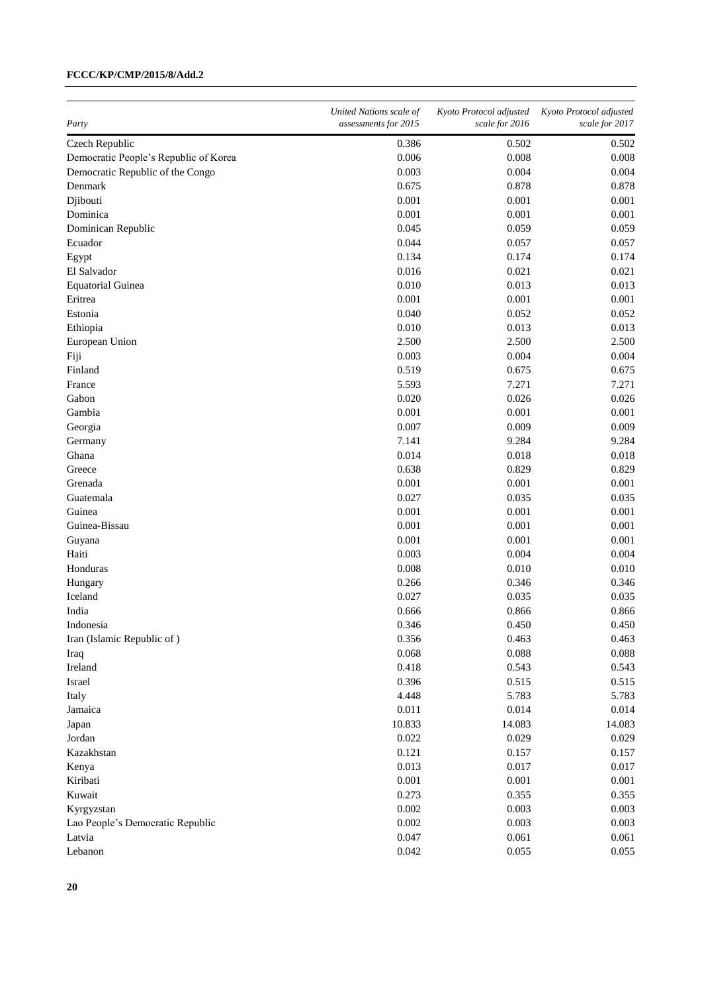| Party                                 | United Nations scale of<br>assessments for 2015 | Kyoto Protocol adjusted<br>scale for 2016 | Kyoto Protocol adjusted<br>scale for 2017 |
|---------------------------------------|-------------------------------------------------|-------------------------------------------|-------------------------------------------|
| Czech Republic                        | 0.386                                           | 0.502                                     | 0.502                                     |
| Democratic People's Republic of Korea | 0.006                                           | 0.008                                     | 0.008                                     |
| Democratic Republic of the Congo      | 0.003                                           | 0.004                                     | 0.004                                     |
| Denmark                               | 0.675                                           | 0.878                                     | 0.878                                     |
| Djibouti                              | 0.001                                           | 0.001                                     | 0.001                                     |
| Dominica                              | 0.001                                           | 0.001                                     | 0.001                                     |
| Dominican Republic                    | 0.045                                           | 0.059                                     | 0.059                                     |
| Ecuador                               | 0.044                                           | 0.057                                     | 0.057                                     |
| Egypt                                 | 0.134                                           | 0.174                                     | 0.174                                     |
| El Salvador                           | 0.016                                           | 0.021                                     | 0.021                                     |
| <b>Equatorial Guinea</b>              | 0.010                                           | 0.013                                     | 0.013                                     |
| Eritrea                               | 0.001                                           | 0.001                                     | 0.001                                     |
| Estonia                               | 0.040                                           | 0.052                                     | 0.052                                     |
| Ethiopia                              | 0.010                                           | 0.013                                     | 0.013                                     |
| European Union                        | 2.500                                           | 2.500                                     | 2.500                                     |
| Fiji                                  | 0.003                                           | 0.004                                     | 0.004                                     |
| Finland                               | 0.519                                           | 0.675                                     | 0.675                                     |
| France                                | 5.593                                           | 7.271                                     | 7.271                                     |
| Gabon                                 | 0.020                                           | 0.026                                     | 0.026                                     |
| Gambia                                | 0.001                                           | 0.001                                     | 0.001                                     |
| Georgia                               | 0.007                                           | 0.009                                     | 0.009                                     |
|                                       | 7.141                                           | 9.284                                     | 9.284                                     |
| Germany<br>Ghana                      | 0.014                                           | 0.018                                     |                                           |
| Greece                                | 0.638                                           | 0.829                                     | 0.018                                     |
|                                       |                                                 |                                           | 0.829                                     |
| Grenada                               | 0.001                                           | 0.001                                     | 0.001                                     |
| Guatemala                             | 0.027                                           | 0.035                                     | 0.035                                     |
| Guinea                                | 0.001                                           | 0.001                                     | 0.001                                     |
| Guinea-Bissau                         | 0.001                                           | 0.001                                     | 0.001                                     |
| Guyana                                | 0.001                                           | 0.001                                     | 0.001                                     |
| Haiti                                 | 0.003                                           | 0.004                                     | 0.004                                     |
| Honduras                              | 0.008                                           | 0.010                                     | 0.010                                     |
| Hungary                               | 0.266                                           | 0.346                                     | 0.346                                     |
| Iceland                               | 0.027                                           | 0.035                                     | 0.035                                     |
| India                                 | 0.666                                           | 0.866                                     | 0.866                                     |
| Indonesia                             | 0.346                                           | 0.450                                     | 0.450                                     |
| Iran (Islamic Republic of)            | 0.356                                           | 0.463                                     | 0.463                                     |
| Iraq                                  | 0.068                                           | 0.088                                     | 0.088                                     |
| Ireland                               | 0.418                                           | 0.543                                     | 0.543                                     |
| Israel                                | 0.396                                           | 0.515                                     | 0.515                                     |
| Italy                                 | 4.448                                           | 5.783                                     | 5.783                                     |
| Jamaica                               | 0.011                                           | 0.014                                     | 0.014                                     |
| Japan                                 | 10.833                                          | 14.083                                    | 14.083                                    |
| Jordan                                | 0.022                                           | 0.029                                     | 0.029                                     |
| Kazakhstan                            | 0.121                                           | 0.157                                     | 0.157                                     |
| Kenya                                 | 0.013                                           | 0.017                                     | 0.017                                     |
| Kiribati                              | 0.001                                           | 0.001                                     | 0.001                                     |
| Kuwait                                | 0.273                                           | 0.355                                     | 0.355                                     |
| Kyrgyzstan                            | 0.002                                           | 0.003                                     | 0.003                                     |
| Lao People's Democratic Republic      | 0.002                                           | 0.003                                     | 0.003                                     |
| Latvia                                | 0.047                                           | 0.061                                     | 0.061                                     |
| Lebanon                               | 0.042                                           | 0.055                                     | 0.055                                     |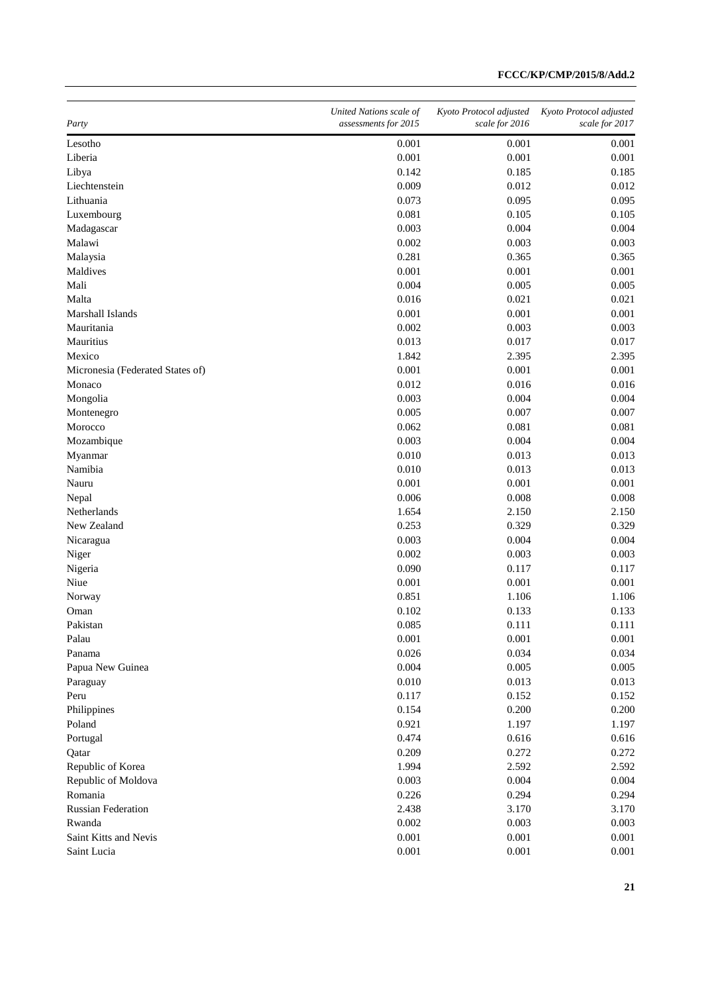| Party                            | United Nations scale of<br>assessments for 2015 | Kyoto Protocol adjusted<br>scale for 2016 | Kyoto Protocol adjusted<br>scale for 2017 |
|----------------------------------|-------------------------------------------------|-------------------------------------------|-------------------------------------------|
| Lesotho                          | 0.001                                           | 0.001                                     | 0.001                                     |
| Liberia                          | 0.001                                           | 0.001                                     | 0.001                                     |
| Libya                            | 0.142                                           | 0.185                                     | 0.185                                     |
| Liechtenstein                    | 0.009                                           | 0.012                                     | 0.012                                     |
| Lithuania                        | 0.073                                           | 0.095                                     | 0.095                                     |
| Luxembourg                       | 0.081                                           | 0.105                                     | 0.105                                     |
| Madagascar                       | 0.003                                           | 0.004                                     | 0.004                                     |
| Malawi                           | 0.002                                           | 0.003                                     | 0.003                                     |
| Malaysia                         | 0.281                                           | 0.365                                     | 0.365                                     |
| Maldives                         | 0.001                                           | 0.001                                     | 0.001                                     |
| Mali                             | 0.004                                           | 0.005                                     | 0.005                                     |
| Malta                            | 0.016                                           | 0.021                                     | 0.021                                     |
| Marshall Islands                 | 0.001                                           | 0.001                                     | 0.001                                     |
| Mauritania                       | 0.002                                           | 0.003                                     | 0.003                                     |
| Mauritius                        | 0.013                                           | 0.017                                     | 0.017                                     |
| Mexico                           | 1.842                                           | 2.395                                     | 2.395                                     |
| Micronesia (Federated States of) | 0.001                                           | 0.001                                     | 0.001                                     |
| Monaco                           | 0.012                                           | 0.016                                     | 0.016                                     |
| Mongolia                         | 0.003                                           | 0.004                                     | 0.004                                     |
| Montenegro                       | 0.005                                           | 0.007                                     | 0.007                                     |
| Morocco                          | 0.062                                           | 0.081                                     | 0.081                                     |
| Mozambique                       | 0.003                                           | 0.004                                     | 0.004                                     |
| Myanmar                          | 0.010                                           | 0.013                                     | 0.013                                     |
| Namibia                          | 0.010                                           | 0.013                                     | 0.013                                     |
| Nauru                            | 0.001                                           | 0.001                                     | 0.001                                     |
| Nepal                            | 0.006                                           | 0.008                                     | 0.008                                     |
| Netherlands                      | 1.654                                           | 2.150                                     | 2.150                                     |
| New Zealand                      | 0.253                                           | 0.329                                     | 0.329                                     |
| Nicaragua                        | 0.003                                           | 0.004                                     | 0.004                                     |
| Niger                            | 0.002                                           | 0.003                                     | 0.003                                     |
| Nigeria                          | 0.090                                           | 0.117                                     | 0.117                                     |
| Niue                             | 0.001                                           | 0.001                                     | 0.001                                     |
| Norway                           | 0.851                                           | 1.106                                     | 1.106                                     |
| Oman                             | 0.102                                           | 0.133                                     | 0.133                                     |
| Pakistan                         | 0.085                                           | 0.111                                     | 0.111                                     |
| Palau                            | 0.001                                           | 0.001                                     | 0.001                                     |
| Panama                           | 0.026                                           | 0.034                                     | 0.034                                     |
| Papua New Guinea                 | 0.004                                           | 0.005                                     | 0.005                                     |
| Paraguay                         | 0.010                                           | 0.013                                     | 0.013                                     |
| Peru                             | 0.117                                           | 0.152                                     | 0.152                                     |
| Philippines                      | 0.154                                           | 0.200                                     | 0.200                                     |
| Poland                           | 0.921                                           | 1.197                                     | 1.197                                     |
| Portugal                         | 0.474                                           | 0.616                                     | 0.616                                     |
| Qatar                            | 0.209                                           | 0.272                                     | 0.272                                     |
| Republic of Korea                | 1.994                                           | 2.592                                     | 2.592                                     |
| Republic of Moldova              | 0.003                                           | 0.004                                     | 0.004                                     |
| Romania                          | 0.226                                           | 0.294                                     | 0.294                                     |
| <b>Russian Federation</b>        | 2.438                                           | 3.170                                     | 3.170                                     |
| Rwanda                           | 0.002                                           | 0.003                                     | 0.003                                     |
| Saint Kitts and Nevis            | 0.001                                           | 0.001                                     | 0.001                                     |
| Saint Lucia                      | 0.001                                           | 0.001                                     | 0.001                                     |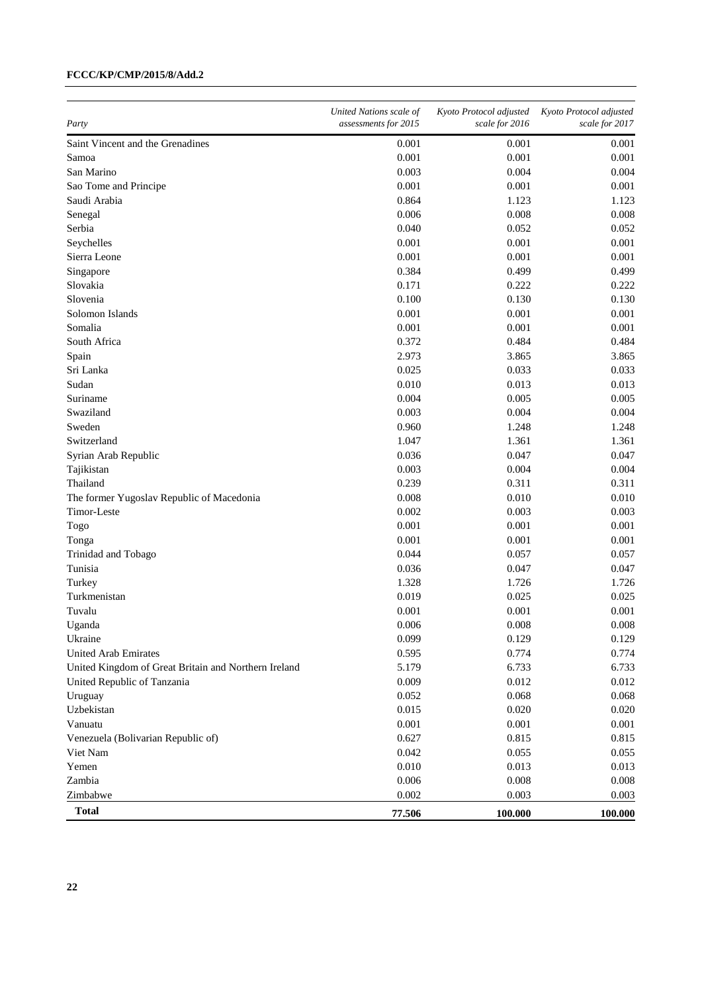| Party                                                | United Nations scale of<br>assessments for 2015 | Kyoto Protocol adjusted<br>scale for 2016 | Kyoto Protocol adjusted<br>scale for 2017 |
|------------------------------------------------------|-------------------------------------------------|-------------------------------------------|-------------------------------------------|
| Saint Vincent and the Grenadines                     | 0.001                                           | 0.001                                     | 0.001                                     |
| Samoa                                                | 0.001                                           | 0.001                                     | 0.001                                     |
| San Marino                                           | 0.003                                           | 0.004                                     | 0.004                                     |
| Sao Tome and Principe                                | 0.001                                           | 0.001                                     | 0.001                                     |
| Saudi Arabia                                         | 0.864                                           | 1.123                                     | 1.123                                     |
| Senegal                                              | 0.006                                           | 0.008                                     | 0.008                                     |
| Serbia                                               | 0.040                                           | 0.052                                     | 0.052                                     |
| Seychelles                                           | 0.001                                           | 0.001                                     | 0.001                                     |
| Sierra Leone                                         | 0.001                                           | 0.001                                     | 0.001                                     |
| Singapore                                            | 0.384                                           | 0.499                                     | 0.499                                     |
| Slovakia                                             | 0.171                                           | 0.222                                     | 0.222                                     |
| Slovenia                                             | 0.100                                           | 0.130                                     | 0.130                                     |
| Solomon Islands                                      | 0.001                                           | 0.001                                     | 0.001                                     |
| Somalia                                              | 0.001                                           | 0.001                                     | 0.001                                     |
| South Africa                                         | 0.372                                           | 0.484                                     | 0.484                                     |
| Spain                                                | 2.973                                           | 3.865                                     | 3.865                                     |
| Sri Lanka                                            | 0.025                                           | 0.033                                     | 0.033                                     |
| Sudan                                                | 0.010                                           | 0.013                                     | 0.013                                     |
| Suriname                                             | 0.004                                           | 0.005                                     | 0.005                                     |
| Swaziland                                            | 0.003                                           | 0.004                                     | 0.004                                     |
| Sweden                                               | 0.960                                           | 1.248                                     | 1.248                                     |
| Switzerland                                          | 1.047                                           | 1.361                                     | 1.361                                     |
| Syrian Arab Republic                                 | 0.036                                           | 0.047                                     | 0.047                                     |
| Tajikistan                                           | 0.003                                           | 0.004                                     | 0.004                                     |
| Thailand                                             | 0.239                                           | 0.311                                     | 0.311                                     |
| The former Yugoslav Republic of Macedonia            | 0.008                                           | 0.010                                     | 0.010                                     |
| Timor-Leste                                          | 0.002                                           | 0.003                                     | 0.003                                     |
| Togo                                                 | 0.001                                           | 0.001                                     | 0.001                                     |
| Tonga                                                | 0.001                                           | 0.001                                     | 0.001                                     |
| Trinidad and Tobago                                  | 0.044                                           | 0.057                                     | 0.057                                     |
| Tunisia                                              | 0.036                                           | 0.047                                     | 0.047                                     |
| Turkey                                               | 1.328                                           | 1.726                                     | 1.726                                     |
| Turkmenistan                                         | 0.019                                           | 0.025                                     | 0.025                                     |
| Tuvalu                                               | 0.001                                           | 0.001                                     | 0.001                                     |
| Uganda                                               | 0.006                                           | 0.008                                     | 0.008                                     |
| Ukraine                                              | 0.099                                           | 0.129                                     | 0.129                                     |
| United Arab Emirates                                 | 0.595                                           | 0.774                                     | 0.774                                     |
| United Kingdom of Great Britain and Northern Ireland | 5.179                                           | 6.733                                     | 6.733                                     |
| United Republic of Tanzania                          | 0.009                                           | 0.012                                     | 0.012                                     |
| Uruguay                                              | 0.052                                           | 0.068                                     | 0.068                                     |
| Uzbekistan                                           | 0.015                                           | 0.020                                     | 0.020                                     |
| Vanuatu                                              | 0.001                                           | 0.001                                     | 0.001                                     |
| Venezuela (Bolivarian Republic of)                   | 0.627                                           | 0.815                                     | 0.815                                     |
| Viet Nam                                             | 0.042                                           | 0.055                                     | 0.055                                     |
| Yemen                                                | 0.010                                           | 0.013                                     | 0.013                                     |
| Zambia                                               | 0.006                                           | 0.008                                     | 0.008                                     |
| Zimbabwe                                             | 0.002                                           | 0.003                                     | 0.003                                     |
| <b>Total</b>                                         | 77.506                                          | 100.000                                   | 100.000                                   |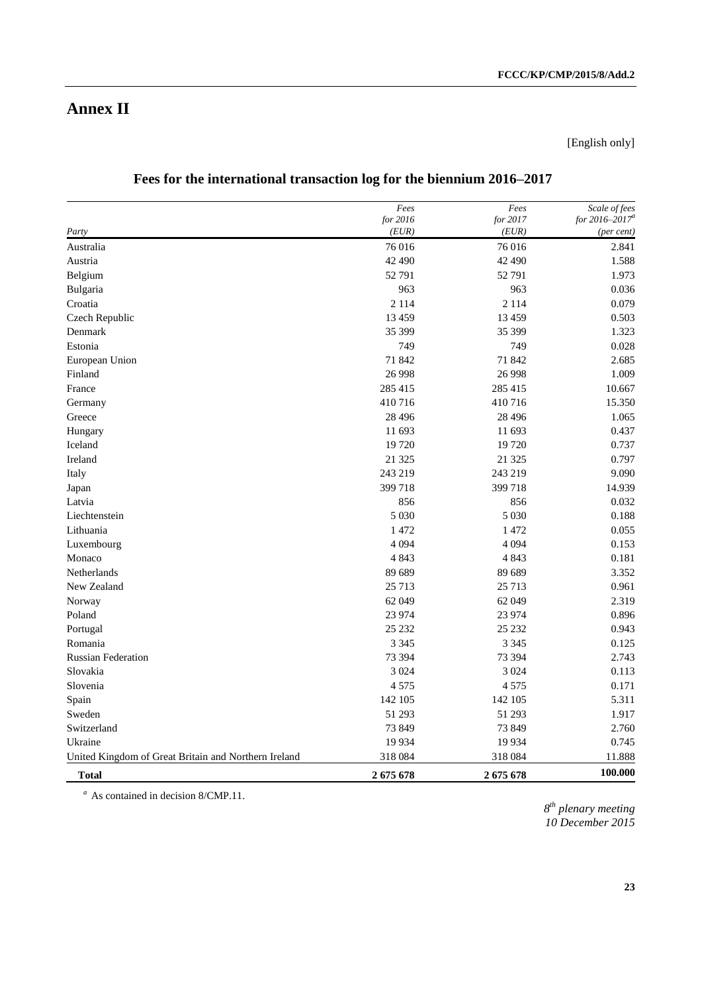[English only]

|  | Fees for the international transaction log for the biennium 2016–2017 |
|--|-----------------------------------------------------------------------|
|--|-----------------------------------------------------------------------|

|                                                      | Fees              | Fees              | Scale of fees                     |
|------------------------------------------------------|-------------------|-------------------|-----------------------------------|
| Party                                                | for 2016<br>(EUR) | for 2017<br>(EUR) | for $2016 - 2017^a$<br>(per cent) |
| Australia                                            | 76 016            | 76 016            | 2.841                             |
| Austria                                              | 42 490            | 42 490            |                                   |
|                                                      |                   |                   | 1.588                             |
| Belgium                                              | 52 791            | 52 791            | 1.973                             |
| Bulgaria                                             | 963               | 963               | 0.036                             |
| Croatia                                              | 2 1 1 4           | 2 1 1 4           | 0.079                             |
| Czech Republic                                       | 13 4 5 9          | 13 4 59           | 0.503                             |
| Denmark                                              | 35 399            | 35 399            | 1.323                             |
| Estonia                                              | 749               | 749               | 0.028                             |
| European Union                                       | 71 842            | 71 842            | 2.685                             |
| Finland                                              | 26 9 98           | 26 9 98           | 1.009                             |
| France                                               | 285 415           | 285 415           | 10.667                            |
| Germany                                              | 410716            | 410716            | 15.350                            |
| Greece                                               | 28 4 9 6          | 28 4 9 6          | 1.065                             |
| Hungary                                              | 11 693            | 11 693            | 0.437                             |
| Iceland                                              | 19720             | 19 720            | 0.737                             |
| Ireland                                              | 21 3 25           | 21 3 25           | 0.797                             |
| Italy                                                | 243 219           | 243 219           | 9.090                             |
| Japan                                                | 399 718           | 399 718           | 14.939                            |
| Latvia                                               | 856               | 856               | 0.032                             |
| Liechtenstein                                        | 5 0 3 0           | 5 0 3 0           | 0.188                             |
| Lithuania                                            | 1 472             | 1 472             | 0.055                             |
| Luxembourg                                           | 4 0 9 4           | 4 0 9 4           | 0.153                             |
| Monaco                                               | 4 8 4 3           | 4 8 4 3           | 0.181                             |
| Netherlands                                          | 89 689            | 89 689            | 3.352                             |
| New Zealand                                          | 25 7 13           | 25 713            | 0.961                             |
| Norway                                               | 62 049            | 62 049            | 2.319                             |
| Poland                                               | 23 974            | 23 974            | 0.896                             |
| Portugal                                             | 25 232            | 25 232            | 0.943                             |
| Romania                                              | 3 3 4 5           | 3 3 4 5           | 0.125                             |
| <b>Russian Federation</b>                            | 73 394            | 73 394            | 2.743                             |
| Slovakia                                             | 3 0 2 4           | 3 0 2 4           | 0.113                             |
| Slovenia                                             | 4 5 7 5           | 4 5 7 5           | 0.171                             |
| Spain                                                | 142 105           | 142 105           | 5.311                             |
| Sweden                                               | 51 293            | 51 293            | 1.917                             |
| Switzerland                                          | 73 849            | 73 849            | 2.760                             |
| Ukraine                                              | 19 9 34           | 19 9 34           | 0.745                             |
| United Kingdom of Great Britain and Northern Ireland | 318 084           | 318 084           | 11.888                            |
| <b>Total</b>                                         | 2675678           | 2675678           | 100.000                           |

*<sup>a</sup>* As contained in decision 8/CMP.11.

*8 th plenary meeting 10 December 2015*